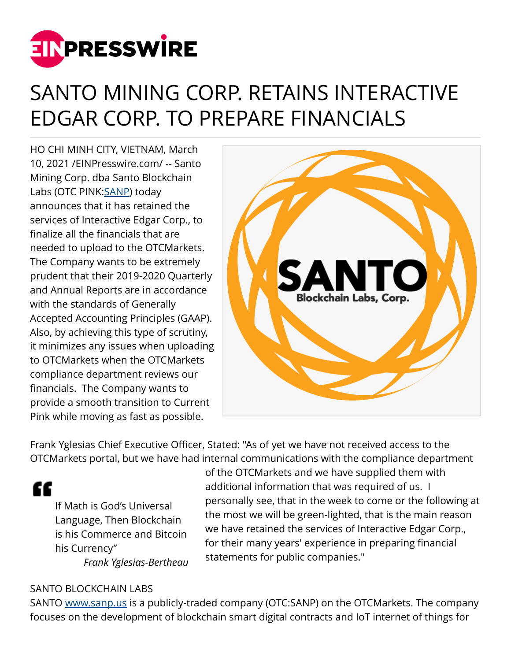

## SANTO MINING CORP. RETAINS INTERACTIVE EDGAR CORP. TO PREPARE FINANCIALS

HO CHI MINH CITY, VIETNAM, March 10, 2021 /[EINPresswire.com/](http://www.einpresswire.com) -- Santo Mining Corp. dba Santo Blockchain Labs (OTC PINK: [SANP](https://sanp.us)) today announces that it has retained the services of Interactive Edgar Corp., to finalize all the financials that are needed to upload to the OTCMarkets. The Company wants to be extremely prudent that their 2019-2020 Quarterly and Annual Reports are in accordance with the standards of Generally Accepted Accounting Principles (GAAP). Also, by achieving this type of scrutiny, it minimizes any issues when uploading to OTCMarkets when the OTCMarkets compliance department reviews our financials. The Company wants to provide a smooth transition to Current Pink while moving as fast as possible.



Frank Yglesias Chief Executive Officer, Stated: "As of yet we have not received access to the OTCMarkets portal, but we have had internal communications with the compliance department

"

If Math is God's Universal Language, Then Blockchain is his Commerce and Bitcoin his Currency" *Frank Yglesias-Bertheau*

of the OTCMarkets and we have supplied them with additional information that was required of us. I personally see, that in the week to come or the following at the most we will be green-lighted, that is the main reason we have retained the services of Interactive Edgar Corp., for their many years' experience in preparing financial statements for public companies."

## SANTO BLOCKCHAIN LABS

SANTO [www.sanp.us](http://www.sanp.us) is a publicly-traded company (OTC:SANP) on the OTCMarkets. The company focuses on the development of blockchain smart digital contracts and IoT internet of things for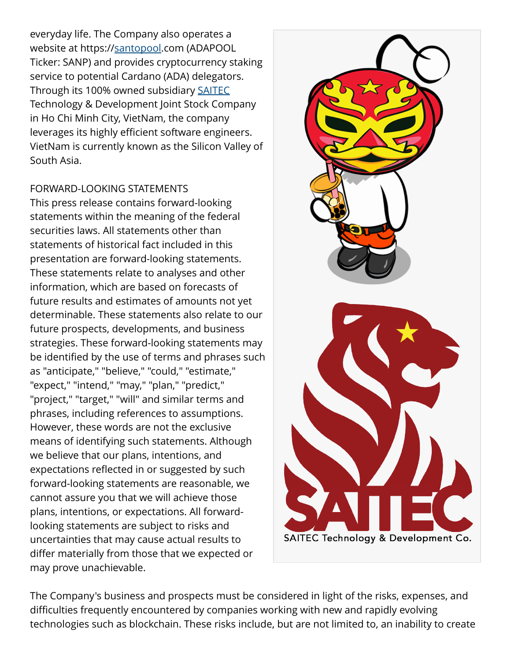everyday life. The Company also operates a website at https:/[/santopool](https://santopool.com).com (ADAPOOL Ticker: SANP) and provides cryptocurrency staking service to potential Cardano (ADA) delegators. Through its 100% owned subsidiary [SAITEC](https://saitev.dev) Technology & Development Joint Stock Company in Ho Chi Minh City, VietNam, the company leverages its highly efficient software engineers. VietNam is currently known as the Silicon Valley of South Asia.

## FORWARD-LOOKING STATEMENTS

This press release contains forward-looking statements within the meaning of the federal securities laws. All statements other than statements of historical fact included in this presentation are forward-looking statements. These statements relate to analyses and other information, which are based on forecasts of future results and estimates of amounts not yet determinable. These statements also relate to our future prospects, developments, and business strategies. These forward-looking statements may be identified by the use of terms and phrases such as "anticipate," "believe," "could," "estimate," "expect," "intend," "may," "plan," "predict," "project," "target," "will" and similar terms and phrases, including references to assumptions. However, these words are not the exclusive means of identifying such statements. Although we believe that our plans, intentions, and expectations reflected in or suggested by such forward-looking statements are reasonable, we cannot assure you that we will achieve those plans, intentions, or expectations. All forwardlooking statements are subject to risks and uncertainties that may cause actual results to differ materially from those that we expected or may prove unachievable.



The Company's business and prospects must be considered in light of the risks, expenses, and difficulties frequently encountered by companies working with new and rapidly evolving technologies such as blockchain. These risks include, but are not limited to, an inability to create